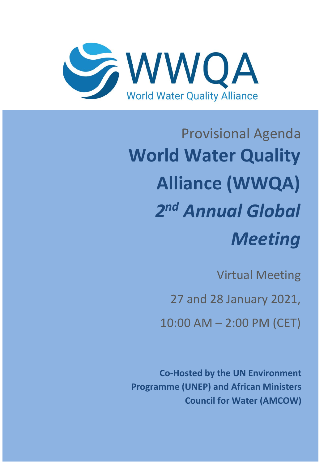

## Provisional Agenda **World Water Quality Alliance (WWQA)** *2 nd Annual Global Meeting*

Virtual Meeting

27 and 28 January 2021,

10:00 AM – 2:00 PM (CET)

**Co-Hosted by the UN Environment Programme (UNEP) and African Ministers Council for Water (AMCOW)**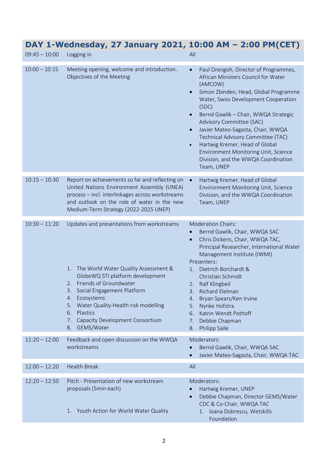| $09:45 - 10:00$ | $P_{\text{H}}$ + Neunesaay, 27 sanaary 2021, 10.00 An - 2.00 Fm CET,<br>Logging in                                                                                                                                                                                                                                                               | All                                                                                                                                                                                                                                                                                                                                                                                                                                                                                                                 |
|-----------------|--------------------------------------------------------------------------------------------------------------------------------------------------------------------------------------------------------------------------------------------------------------------------------------------------------------------------------------------------|---------------------------------------------------------------------------------------------------------------------------------------------------------------------------------------------------------------------------------------------------------------------------------------------------------------------------------------------------------------------------------------------------------------------------------------------------------------------------------------------------------------------|
| $10:00 - 10:15$ | Meeting opening, welcome and introduction.<br>Objectives of the Meeting                                                                                                                                                                                                                                                                          | Paul Orengoh, Director of Programmes,<br>$\bullet$<br>African Ministers Council for Water<br>(AMCOW)<br>Simon Zbinden, Head, Global Programme<br>$\bullet$<br>Water, Swiss Development Cooperation<br>(SDC)<br>Bernd Gawlik - Chair, WWQA Strategic<br>Advisory Committee (SAC)<br>Javier Mateo-Sagasta, Chair, WWQA<br>$\bullet$<br>Technical Advisory Committee (TAC)<br>Hartwig Kremer, Head of Global<br>$\bullet$<br>Environment Monitoring Unit, Science<br>Division, and the WWQA Coordination<br>Team, UNEP |
| $10:15 - 10:30$ | Report on achievements so far and reflecting on<br>United Nations Environment Assembly (UNEA)<br>process - incl. interlinkages across workstreams<br>and outlook on the role of water in the new<br>Medium-Term Strategy (2022-2025 UNEP)                                                                                                        | Hartwig Kremer, Head of Global<br>Environment Monitoring Unit, Science<br>Division, and the WWQA Coordination<br>Team, UNEP                                                                                                                                                                                                                                                                                                                                                                                         |
| $10:30 - 11:20$ | Updates and presentations from workstreams<br>The World Water Quality Assessment &<br>1.<br>GlobeWQ STI platform development<br>Friends of Groundwater<br>2.<br>Social Engagement Platform<br>3.<br>Ecosystems<br>4.<br>Water Quality-Health risk modelling<br>5.<br>Plastics<br>6.<br>Capacity Development Consortium<br>7.<br>GEMS/Water<br>8. | <b>Moderation Chairs:</b><br>Bernd Gawlik, Chair, WWQA SAC<br>Chris Dickens, Chair, WWQA TAC,<br>$\bullet$<br>Principal Researcher, International Water<br>Management Institute (IWMI)<br>Presenters:<br>Dietrich Borchardt &<br>1.<br>Christian Schmidt<br>Ralf Klingbeil<br>2.<br>3.<br>Richard Elelman<br>Bryan Spears/Ken Irvine<br>4.<br>Nynke Hofstra<br>5.<br>Katrin Wendt Pothoff<br>6.<br>Debbie Chapman<br>7.<br>Philipp Saile<br>8.                                                                      |
| $11:20 - 12:00$ | Feedback and open discussion on the WWQA<br>workstreams                                                                                                                                                                                                                                                                                          | Moderators:<br>Bernd Gawlik, Chair, WWQA SAC<br>Javier Mateo-Sagasta, Chair, WWQA TAC                                                                                                                                                                                                                                                                                                                                                                                                                               |
| $12:00 - 12:20$ | <b>Health Break</b>                                                                                                                                                                                                                                                                                                                              | All                                                                                                                                                                                                                                                                                                                                                                                                                                                                                                                 |
| $12:20 - 12:50$ | Pitch - Presentation of new workstream<br>proposals (5min each)<br>1. Youth Action for World Water Quality                                                                                                                                                                                                                                       | Moderators:<br>Hartwig Kremer, UNEP<br>Debbie Chapman, Director GEMS/Water<br>CDC & Co-Chair, WWQA TAC<br>Ioana Dobrescu, Wetskills<br>1.<br>Foundation                                                                                                                                                                                                                                                                                                                                                             |

## **DAY 1-Wednesday, 27 January 2021, 10:00 AM – 2:00 PM(CET)**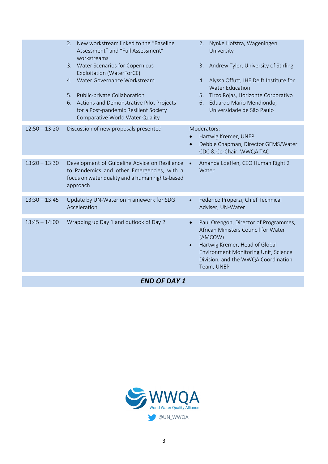|                     | New workstream linked to the "Baseline"<br>2.<br>Assessment" and "Full Assessment"<br>workstreams                                                          | Nynke Hofstra, Wageningen<br>2.<br>University                                                                                                                                                                                       |  |  |
|---------------------|------------------------------------------------------------------------------------------------------------------------------------------------------------|-------------------------------------------------------------------------------------------------------------------------------------------------------------------------------------------------------------------------------------|--|--|
|                     | 3. Water Scenarios for Copernicus<br>Exploitation (WaterForCE)                                                                                             | Andrew Tyler, University of Stirling<br>3.                                                                                                                                                                                          |  |  |
|                     | Water Governance Workstream<br>4.                                                                                                                          | 4. Alyssa Offutt, IHE Delft Institute for<br><b>Water Education</b>                                                                                                                                                                 |  |  |
|                     | 5. Public-private Collaboration<br>6. Actions and Demonstrative Pilot Projects<br>for a Post-pandemic Resilient Society<br>Comparative World Water Quality | Tirco Rojas, Horizonte Corporativo<br>5.<br>Eduardo Mario Mendiondo,<br>6.<br>Universidade de São Paulo                                                                                                                             |  |  |
| $12:50 - 13:20$     | Discussion of new proposals presented                                                                                                                      | Moderators:<br>Hartwig Kremer, UNEP<br>Debbie Chapman, Director GEMS/Water<br>CDC & Co-Chair, WWQA TAC                                                                                                                              |  |  |
| $13:20 - 13:30$     | Development of Guideline Advice on Resilience<br>to Pandemics and other Emergencies, with a<br>focus on water quality and a human rights-based<br>approach | Amanda Loeffen, CEO Human Right 2<br>Water                                                                                                                                                                                          |  |  |
| $13:30 - 13:45$     | Update by UN-Water on Framework for SDG<br>Acceleration                                                                                                    | Federico Properzi, Chief Technical<br>$\bullet$<br>Adviser, UN-Water                                                                                                                                                                |  |  |
| $13:45 - 14:00$     | Wrapping up Day 1 and outlook of Day 2                                                                                                                     | Paul Orengoh, Director of Programmes,<br>$\bullet$<br>African Ministers Council for Water<br>(AMCOW)<br>Hartwig Kremer, Head of Global<br>Environment Monitoring Unit, Science<br>Division, and the WWQA Coordination<br>Team, UNEP |  |  |
| <b>END OF DAY 1</b> |                                                                                                                                                            |                                                                                                                                                                                                                                     |  |  |

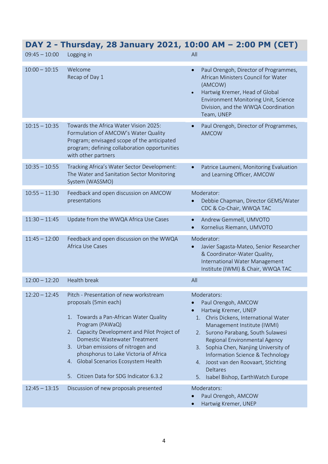| $09:45 - 10:00$ | DAT Z = THUISUAY, ZO JAHUAI Y ZUZI, IU.UU AM = Z.UU PM (CLT)<br>Logging in                                                                                                                                                                                                                                                                                                      | All                                                                                                                                                                                                                                                                                                                                                                                     |
|-----------------|---------------------------------------------------------------------------------------------------------------------------------------------------------------------------------------------------------------------------------------------------------------------------------------------------------------------------------------------------------------------------------|-----------------------------------------------------------------------------------------------------------------------------------------------------------------------------------------------------------------------------------------------------------------------------------------------------------------------------------------------------------------------------------------|
| $10:00 - 10:15$ | Welcome<br>Recap of Day 1                                                                                                                                                                                                                                                                                                                                                       | Paul Orengoh, Director of Programmes,<br>$\bullet$<br>African Ministers Council for Water<br>(AMCOW)<br>Hartwig Kremer, Head of Global<br>$\bullet$<br>Environment Monitoring Unit, Science<br>Division, and the WWQA Coordination<br>Team, UNEP                                                                                                                                        |
| $10:15 - 10:35$ | Towards the Africa Water Vision 2025:<br>Formulation of AMCOW's Water Quality<br>Program; envisaged scope of the anticipated<br>program; defining collaboration opportunities<br>with other partners                                                                                                                                                                            | Paul Orengoh, Director of Programmes,<br><b>AMCOW</b>                                                                                                                                                                                                                                                                                                                                   |
| $10:35 - 10:55$ | Tracking Africa's Water Sector Development:<br>The Water and Sanitation Sector Monitoring<br>System (WASSMO)                                                                                                                                                                                                                                                                    | Patrice Laumeni, Monitoring Evaluation<br>$\bullet$<br>and Learning Officer, AMCOW                                                                                                                                                                                                                                                                                                      |
| $10:55 - 11:30$ | Feedback and open discussion on AMCOW<br>presentations                                                                                                                                                                                                                                                                                                                          | Moderator:<br>Debbie Chapman, Director GEMS/Water<br>CDC & Co-Chair, WWQA TAC                                                                                                                                                                                                                                                                                                           |
| $11:30 - 11:45$ | Update from the WWQA Africa Use Cases                                                                                                                                                                                                                                                                                                                                           | Andrew Gemmell, UMVOTO<br>$\bullet$<br>Kornelius Riemann, UMVOTO                                                                                                                                                                                                                                                                                                                        |
| $11:45 - 12:00$ | Feedback and open discussion on the WWQA<br>Africa Use Cases                                                                                                                                                                                                                                                                                                                    | Moderator:<br>Javier Sagasta-Mateo, Senior Researcher<br>& Coordinator-Water Quality,<br>International Water Management<br>Institute (IWMI) & Chair, WWQA TAC                                                                                                                                                                                                                           |
| $12:00 - 12:20$ | <b>Health break</b>                                                                                                                                                                                                                                                                                                                                                             | All                                                                                                                                                                                                                                                                                                                                                                                     |
| $12:20 - 12:45$ | Pitch - Presentation of new workstream<br>proposals (5min each)<br>1. Towards a Pan-African Water Quality<br>Program (PAWaQ)<br>2. Capacity Development and Pilot Project of<br>Domestic Wastewater Treatment<br>3. Urban emissions of nitrogen and<br>phosphorus to Lake Victoria of Africa<br>4. Global Scenarios Ecosystem Health<br>5. Citizen Data for SDG Indicator 6.3.2 | Moderators:<br>Paul Orengoh, AMCOW<br>Hartwig Kremer, UNEP<br>Chris Dickens, International Water<br>1.<br>Management Institute (IWMI)<br>2. Surono Parabang, South Sulawesi<br>Regional Environmental Agency<br>3. Sophia Chen, Nanjing University of<br>Information Science & Technology<br>4. Joost van den Roovaart, Stichting<br>Deltares<br>Isabel Bishop, EarthWatch Europe<br>5. |
| $12:45 - 13:15$ | Discussion of new proposals presented                                                                                                                                                                                                                                                                                                                                           | Moderators:<br>Paul Orengoh, AMCOW<br>Hartwig Kremer, UNEP                                                                                                                                                                                                                                                                                                                              |

## **DAY 2 - Thursday, 28 January 2021, 10:00 AM – 2:00 PM (CET)**